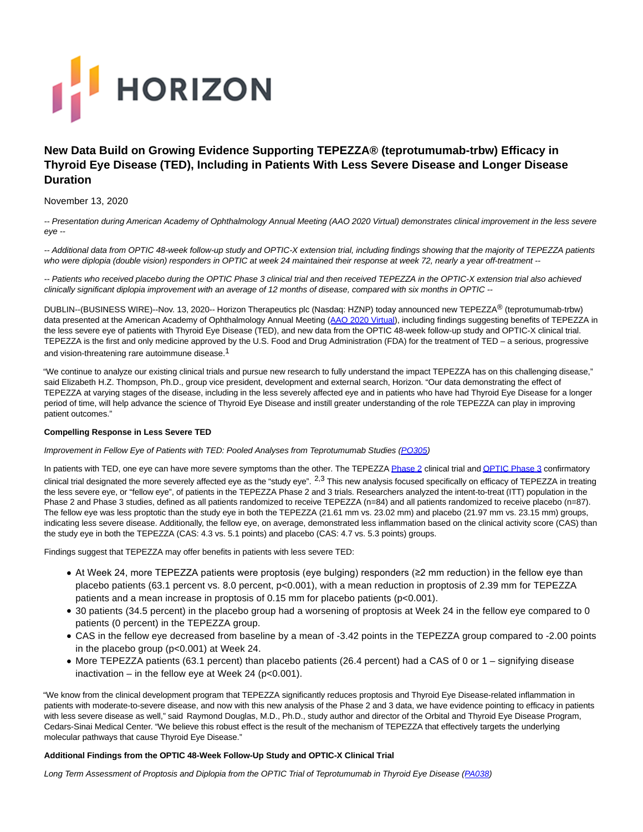# **HORIZON**

# **New Data Build on Growing Evidence Supporting TEPEZZA® (teprotumumab-trbw) Efficacy in Thyroid Eye Disease (TED), Including in Patients With Less Severe Disease and Longer Disease Duration**

#### November 13, 2020

-- Presentation during American Academy of Ophthalmology Annual Meeting (AAO 2020 Virtual) demonstrates clinical improvement in the less severe eye --

-- Additional data from OPTIC 48-week follow-up study and OPTIC-X extension trial, including findings showing that the majority of TEPEZZA patients who were diplopia (double vision) responders in OPTIC at week 24 maintained their response at week 72, nearly a year off-treatment --

-- Patients who received placebo during the OPTIC Phase 3 clinical trial and then received TEPEZZA in the OPTIC-X extension trial also achieved clinically significant diplopia improvement with an average of 12 months of disease, compared with six months in OPTIC --

DUBLIN--(BUSINESS WIRE)--Nov. 13, 2020-- Horizon Therapeutics plc (Nasdaq: HZNP) today announced new TEPEZZA® (teprotumumab-trbw) data presented at the American Academy of Ophthalmology Annual Meeting [\(AAO 2020 Virtual\),](https://cts.businesswire.com/ct/CT?id=smartlink&url=https%3A%2F%2Fwww.aao.org%2Fannual-meeting&esheet=52326529&newsitemid=20201113005158&lan=en-US&anchor=AAO+2020+Virtual&index=1&md5=e8ed9d6382c0b29c1ec111a28441f89d) including findings suggesting benefits of TEPEZZA in the less severe eye of patients with Thyroid Eye Disease (TED), and new data from the OPTIC 48-week follow-up study and OPTIC-X clinical trial. TEPEZZA is the first and only medicine approved by the U.S. Food and Drug Administration (FDA) for the treatment of TED – a serious, progressive and vision-threatening rare autoimmune disease.<sup>1</sup>

"We continue to analyze our existing clinical trials and pursue new research to fully understand the impact TEPEZZA has on this challenging disease," said Elizabeth H.Z. Thompson, Ph.D., group vice president, development and external search, Horizon. "Our data demonstrating the effect of TEPEZZA at varying stages of the disease, including in the less severely affected eye and in patients who have had Thyroid Eye Disease for a longer period of time, will help advance the science of Thyroid Eye Disease and instill greater understanding of the role TEPEZZA can play in improving patient outcomes."

#### **Compelling Response in Less Severe TED**

#### Improvement in Fellow Eye of Patients with TED: Pooled Analyses from Teprotumumab Studies [\(PO305\)](https://cts.businesswire.com/ct/CT?id=smartlink&url=https%3A%2F%2Faaommg.apprisor.org%2FapsSession.cfm%3Fid%3DPO305&esheet=52326529&newsitemid=20201113005158&lan=en-US&anchor=PO305&index=2&md5=7cb82ba82976cbf7b0d242e6c2a4b5f5)

In patients with TED, one eye can have more severe symptoms than the other. The TEPEZZA [Phase 2 c](https://cts.businesswire.com/ct/CT?id=smartlink&url=https%3A%2F%2Fclinicaltrials.gov%2Fct2%2Fshow%2FNCT01868997&esheet=52326529&newsitemid=20201113005158&lan=en-US&anchor=Phase+2&index=3&md5=dc27102627815aa8e933cca0e57c83c3)linical trial an[d OPTIC Phase 3 c](https://cts.businesswire.com/ct/CT?id=smartlink&url=https%3A%2F%2Fwww.clinicaltrials.gov%2Fct2%2Fshow%2FNCT03298867&esheet=52326529&newsitemid=20201113005158&lan=en-US&anchor=OPTIC+Phase+3&index=4&md5=b2d7698030b2299da50f70ab0e58ec32)onfirmatory clinical trial designated the more severely affected eye as the "study eye". <sup>2,3</sup> This new analysis focused specifically on efficacy of TEPEZZA in treating the less severe eye, or "fellow eye", of patients in the TEPEZZA Phase 2 and 3 trials. Researchers analyzed the intent-to-treat (ITT) population in the Phase 2 and Phase 3 studies, defined as all patients randomized to receive TEPEZZA (n=84) and all patients randomized to receive placebo (n=87). The fellow eye was less proptotic than the study eye in both the TEPEZZA (21.61 mm vs. 23.02 mm) and placebo (21.97 mm vs. 23.15 mm) groups, indicating less severe disease. Additionally, the fellow eye, on average, demonstrated less inflammation based on the clinical activity score (CAS) than the study eye in both the TEPEZZA (CAS: 4.3 vs. 5.1 points) and placebo (CAS: 4.7 vs. 5.3 points) groups.

Findings suggest that TEPEZZA may offer benefits in patients with less severe TED:

- At Week 24, more TEPEZZA patients were proptosis (eye bulging) responders (≥2 mm reduction) in the fellow eye than placebo patients (63.1 percent vs. 8.0 percent, p<0.001), with a mean reduction in proptosis of 2.39 mm for TEPEZZA patients and a mean increase in proptosis of 0.15 mm for placebo patients (p<0.001).
- 30 patients (34.5 percent) in the placebo group had a worsening of proptosis at Week 24 in the fellow eye compared to 0 patients (0 percent) in the TEPEZZA group.
- CAS in the fellow eye decreased from baseline by a mean of -3.42 points in the TEPEZZA group compared to -2.00 points in the placebo group (p<0.001) at Week 24.
- More TEPEZZA patients (63.1 percent) than placebo patients (26.4 percent) had a CAS of 0 or 1 signifying disease inactivation – in the fellow eye at Week 24 ( $p < 0.001$ ).

"We know from the clinical development program that TEPEZZA significantly reduces proptosis and Thyroid Eye Disease-related inflammation in patients with moderate-to-severe disease, and now with this new analysis of the Phase 2 and 3 data, we have evidence pointing to efficacy in patients with less severe disease as well," said Raymond Douglas, M.D., Ph.D., study author and director of the Orbital and Thyroid Eye Disease Program, Cedars-Sinai Medical Center. "We believe this robust effect is the result of the mechanism of TEPEZZA that effectively targets the underlying molecular pathways that cause Thyroid Eye Disease."

# **Additional Findings from the OPTIC 48-Week Follow-Up Study and OPTIC-X Clinical Trial**

Long Term Assessment of Proptosis and Diplopia from the OPTIC Trial of Teprotumumab in Thyroid Eye Disease [\(PA038\)](https://cts.businesswire.com/ct/CT?id=smartlink&url=https%3A%2F%2Faaommg.apprisor.org%2FapsSession.cfm%3Fid%3DPA038&esheet=52326529&newsitemid=20201113005158&lan=en-US&anchor=PA038&index=5&md5=dccc4da7f81e478a704f58529aeabdb7)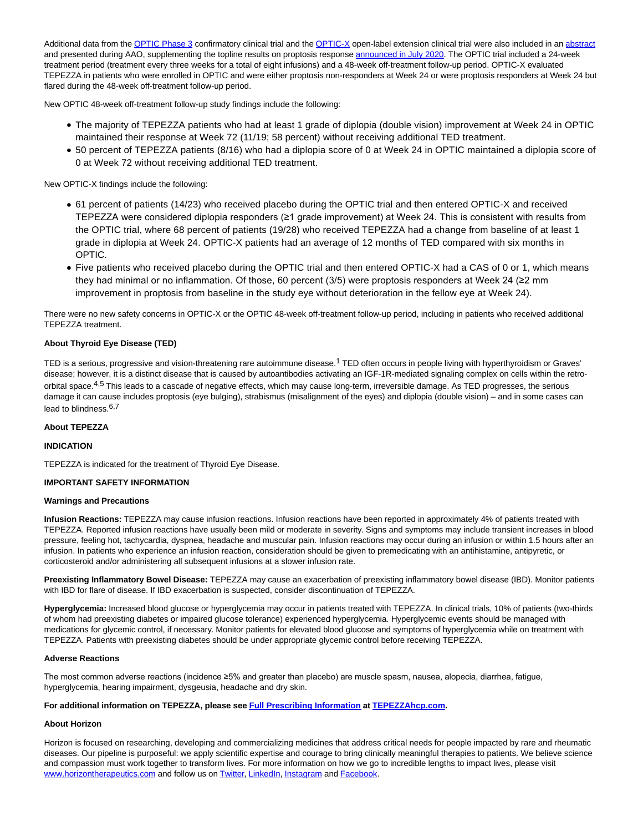Additional data from the [OPTIC Phase 3 c](https://cts.businesswire.com/ct/CT?id=smartlink&url=https%3A%2F%2Fwww.clinicaltrials.gov%2Fct2%2Fshow%2FNCT03298867&esheet=52326529&newsitemid=20201113005158&lan=en-US&anchor=OPTIC+Phase+3&index=6&md5=1222b389724244d5603aaa6bdefcad4d)onfirmatory clinical trial and the [OPTIC-X o](https://cts.businesswire.com/ct/CT?id=smartlink&url=https%3A%2F%2Fwww.clinicaltrials.gov%2Fct2%2Fshow%2FNCT03461211&esheet=52326529&newsitemid=20201113005158&lan=en-US&anchor=OPTIC-X&index=7&md5=5ff435c490cc7a458e41bd4a18ed9cff)pen-label extension clinical trial were also included in an [abstract](https://cts.businesswire.com/ct/CT?id=smartlink&url=https%3A%2F%2Faaommg.apprisor.org%2FapsSession.cfm%3Fid%3DPA038&esheet=52326529&newsitemid=20201113005158&lan=en-US&anchor=abstract&index=8&md5=6d4f4b4259393cfcb10afc7c411cdd3b) and presented during AAO, supplementing the topline results on proptosis response [announced in July 2020.](https://cts.businesswire.com/ct/CT?id=smartlink&url=https%3A%2F%2Fir.horizontherapeutics.com%2Fnews-releases%2Fnews-release-details%2Fnew-topline-tepezzar-teprotumumab-trbw-data-underscore-its&esheet=52326529&newsitemid=20201113005158&lan=en-US&anchor=announced+in+July+2020&index=9&md5=08fbbb42e19080c94fc47fdc0fd27b1a) The OPTIC trial included a 24-week treatment period (treatment every three weeks for a total of eight infusions) and a 48-week off-treatment follow-up period. OPTIC-X evaluated TEPEZZA in patients who were enrolled in OPTIC and were either proptosis non-responders at Week 24 or were proptosis responders at Week 24 but flared during the 48-week off-treatment follow-up period.

New OPTIC 48-week off-treatment follow-up study findings include the following:

- The majority of TEPEZZA patients who had at least 1 grade of diplopia (double vision) improvement at Week 24 in OPTIC maintained their response at Week 72 (11/19; 58 percent) without receiving additional TED treatment.
- 50 percent of TEPEZZA patients (8/16) who had a diplopia score of 0 at Week 24 in OPTIC maintained a diplopia score of 0 at Week 72 without receiving additional TED treatment.

## New OPTIC-X findings include the following:

- 61 percent of patients (14/23) who received placebo during the OPTIC trial and then entered OPTIC-X and received TEPEZZA were considered diplopia responders (≥1 grade improvement) at Week 24. This is consistent with results from the OPTIC trial, where 68 percent of patients (19/28) who received TEPEZZA had a change from baseline of at least 1 grade in diplopia at Week 24. OPTIC-X patients had an average of 12 months of TED compared with six months in OPTIC.
- Five patients who received placebo during the OPTIC trial and then entered OPTIC-X had a CAS of 0 or 1, which means they had minimal or no inflammation. Of those, 60 percent (3/5) were proptosis responders at Week 24 (≥2 mm improvement in proptosis from baseline in the study eye without deterioration in the fellow eye at Week 24).

There were no new safety concerns in OPTIC-X or the OPTIC 48-week off-treatment follow-up period, including in patients who received additional TEPEZZA treatment.

#### **About Thyroid Eye Disease (TED)**

TED is a serious, progressive and vision-threatening rare autoimmune disease.<sup>1</sup> TED often occurs in people living with hyperthyroidism or Graves' disease; however, it is a distinct disease that is caused by autoantibodies activating an IGF-1R-mediated signaling complex on cells within the retroorbital space.<sup>4,5</sup> This leads to a cascade of negative effects, which may cause long-term, irreversible damage. As TED progresses, the serious damage it can cause includes proptosis (eye bulging), strabismus (misalignment of the eyes) and diplopia (double vision) – and in some cases can lead to blindness.6,7

#### **About TEPEZZA**

#### **INDICATION**

TEPEZZA is indicated for the treatment of Thyroid Eye Disease.

#### **IMPORTANT SAFETY INFORMATION**

#### **Warnings and Precautions**

**Infusion Reactions:** TEPEZZA may cause infusion reactions. Infusion reactions have been reported in approximately 4% of patients treated with TEPEZZA. Reported infusion reactions have usually been mild or moderate in severity. Signs and symptoms may include transient increases in blood pressure, feeling hot, tachycardia, dyspnea, headache and muscular pain. Infusion reactions may occur during an infusion or within 1.5 hours after an infusion. In patients who experience an infusion reaction, consideration should be given to premedicating with an antihistamine, antipyretic, or corticosteroid and/or administering all subsequent infusions at a slower infusion rate.

**Preexisting Inflammatory Bowel Disease:** TEPEZZA may cause an exacerbation of preexisting inflammatory bowel disease (IBD). Monitor patients with IBD for flare of disease. If IBD exacerbation is suspected, consider discontinuation of TEPEZZA.

**Hyperglycemia:** Increased blood glucose or hyperglycemia may occur in patients treated with TEPEZZA. In clinical trials, 10% of patients (two-thirds of whom had preexisting diabetes or impaired glucose tolerance) experienced hyperglycemia. Hyperglycemic events should be managed with medications for glycemic control, if necessary. Monitor patients for elevated blood glucose and symptoms of hyperglycemia while on treatment with TEPEZZA. Patients with preexisting diabetes should be under appropriate glycemic control before receiving TEPEZZA.

#### **Adverse Reactions**

The most common adverse reactions (incidence ≥5% and greater than placebo) are muscle spasm, nausea, alopecia, diarrhea, fatigue, hyperglycemia, hearing impairment, dysgeusia, headache and dry skin.

#### **For additional information on TEPEZZA, please se[e Full Prescribing Information a](https://cts.businesswire.com/ct/CT?id=smartlink&url=https%3A%2F%2Fwww.hzndocs.com%2FTEPEZZA-Prescribing-Information.pdf&esheet=52326529&newsitemid=20201113005158&lan=en-US&anchor=Full+Prescribing+Information&index=10&md5=09a894612146aa2b26685dfae504d358)t [TEPEZZAhcp.com.](https://cts.businesswire.com/ct/CT?id=smartlink&url=http%3A%2F%2Fwww.TEPEZZAhcp.com&esheet=52326529&newsitemid=20201113005158&lan=en-US&anchor=TEPEZZAhcp.com&index=11&md5=b93dec20c91a5719fd5c8b0eddab3ef7)**

#### **About Horizon**

Horizon is focused on researching, developing and commercializing medicines that address critical needs for people impacted by rare and rheumatic diseases. Our pipeline is purposeful: we apply scientific expertise and courage to bring clinically meaningful therapies to patients. We believe science and compassion must work together to transform lives. For more information on how we go to incredible lengths to impact lives, please visit [www.horizontherapeutics.com a](https://cts.businesswire.com/ct/CT?id=smartlink&url=http%3A%2F%2Fwww.horizontherapeutics.com&esheet=52326529&newsitemid=20201113005158&lan=en-US&anchor=www.horizontherapeutics.com&index=12&md5=7a0265549a139de7ff1d9af978d9f5a1)nd follow us o[n Twitter,](https://cts.businesswire.com/ct/CT?id=smartlink&url=https%3A%2F%2Ftwitter.com%2FHorizonNews&esheet=52326529&newsitemid=20201113005158&lan=en-US&anchor=Twitter&index=13&md5=aa8ed71e8bb4e63a8951d496b12414c3) [LinkedIn,](https://cts.businesswire.com/ct/CT?id=smartlink&url=https%3A%2F%2Fwww.linkedin.com%2Fcompany%2Fhorizontherapeutics&esheet=52326529&newsitemid=20201113005158&lan=en-US&anchor=LinkedIn&index=14&md5=d42d4666aaec3a308021a46922db42e0) [Instagram a](https://cts.businesswire.com/ct/CT?id=smartlink&url=https%3A%2F%2Fwww.instagram.com%2Fhorizontherapeutics%2F&esheet=52326529&newsitemid=20201113005158&lan=en-US&anchor=Instagram&index=15&md5=d4edc18f8ad7662a13f81fbb2922f5f3)n[d Facebook.](https://cts.businesswire.com/ct/CT?id=smartlink&url=https%3A%2F%2Fwww.facebook.com%2FHorizonTherapeutics%2F&esheet=52326529&newsitemid=20201113005158&lan=en-US&anchor=Facebook&index=16&md5=e85de26d17d0ffe76c3d078e51841002)